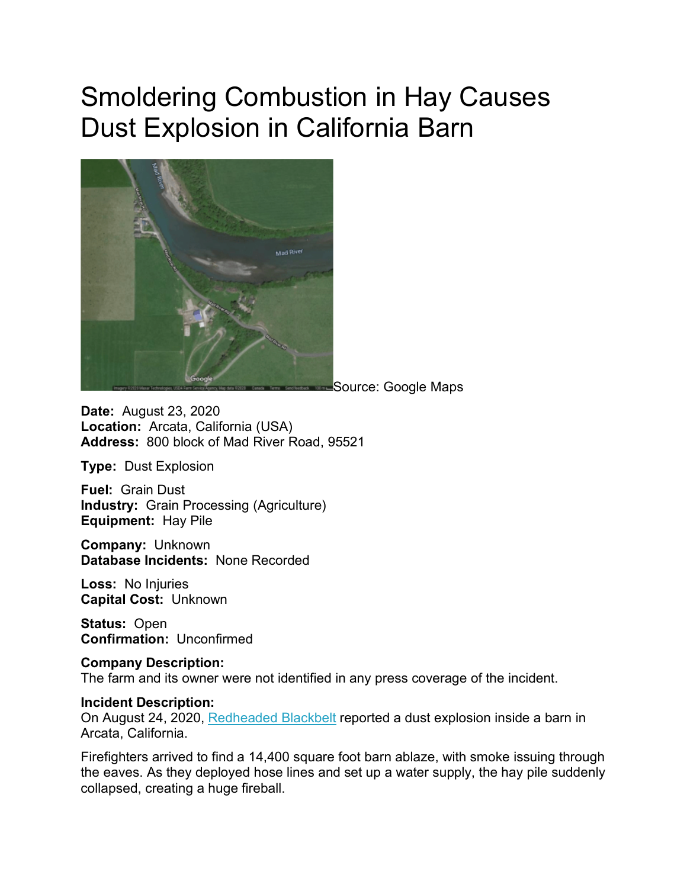## Smoldering Combustion in Hay Causes Dust Explosion in California Barn



Source: Google Maps

**Date:** August 23, 2020 **Location:** Arcata, California (USA) **Address:** 800 block of Mad River Road, 95521

**Type:** Dust Explosion

**Fuel:** Grain Dust **Industry:** Grain Processing (Agriculture) **Equipment:** Hay Pile

**Company:** Unknown **Database Incidents:** None Recorded

**Loss:** No Injuries **Capital Cost:** Unknown

**Status:** Open **Confirmation:** Unconfirmed

**Company Description:** The farm and its owner were not identified in any press coverage of the incident.

## **Incident Description:**

On August 24, 2020, [Redheaded Blackbelt](https://kymkemp.com/2020/08/24/hay-barn-fire-will-continue-to-burn-could-be-impacts-from-smoke/) reported a dust explosion inside a barn in Arcata, California.

Firefighters arrived to find a 14,400 square foot barn ablaze, with smoke issuing through the eaves. As they deployed hose lines and set up a water supply, the hay pile suddenly collapsed, creating a huge fireball.